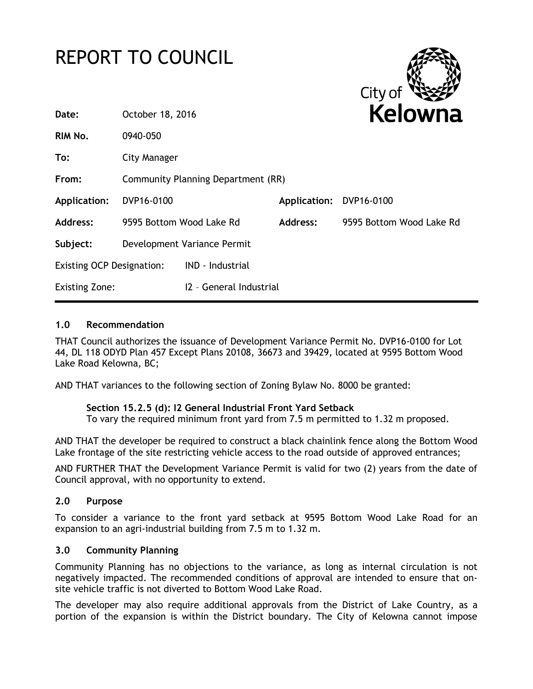# REPORT TO COUNCIL



| Date:                            | October 18, 2016                   |                         | Kelowna                 |                          |
|----------------------------------|------------------------------------|-------------------------|-------------------------|--------------------------|
| RIM No.                          | 0940-050                           |                         |                         |                          |
| To:                              | City Manager                       |                         |                         |                          |
| From:                            | Community Planning Department (RR) |                         |                         |                          |
| <b>Application:</b>              | DVP16-0100                         |                         | Application: DVP16-0100 |                          |
| <b>Address:</b>                  | 9595 Bottom Wood Lake Rd           |                         | Address:                | 9595 Bottom Wood Lake Rd |
| Subject:                         | Development Variance Permit        |                         |                         |                          |
| <b>Existing OCP Designation:</b> |                                    | <b>IND - Industrial</b> |                         |                          |
| <b>Existing Zone:</b>            |                                    | 12 - General Industrial |                         |                          |
|                                  |                                    |                         |                         |                          |

#### **1.0 Recommendation**

THAT Council authorizes the issuance of Development Variance Permit No. DVP16-0100 for Lot 44, DL 118 ODYD Plan 457 Except Plans 20108, 36673 and 39429, located at 9595 Bottom Wood Lake Road Kelowna, BC;

AND THAT variances to the following section of Zoning Bylaw No. 8000 be granted:

#### **Section 15.2.5 (d): I2 General Industrial Front Yard Setback**

To vary the required minimum front yard from 7.5 m permitted to 1.32 m proposed.

AND THAT the developer be required to construct a black chainlink fence along the Bottom Wood Lake frontage of the site restricting vehicle access to the road outside of approved entrances;

AND FURTHER THAT the Development Variance Permit is valid for two (2) years from the date of Council approval, with no opportunity to extend.

#### **2.0 Purpose**

To consider a variance to the front yard setback at 9595 Bottom Wood Lake Road for an expansion to an agri-industrial building from 7.5 m to 1.32 m.

#### **3.0 Community Planning**

Community Planning has no objections to the variance, as long as internal circulation is not negatively impacted. The recommended conditions of approval are intended to ensure that onsite vehicle traffic is not diverted to Bottom Wood Lake Road.

The developer may also require additional approvals from the District of Lake Country, as a portion of the expansion is within the District boundary. The City of Kelowna cannot impose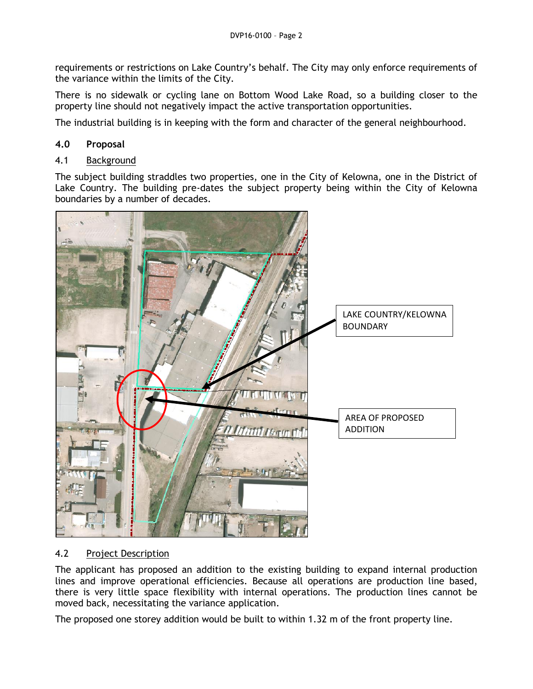requirements or restrictions on Lake Country's behalf. The City may only enforce requirements of the variance within the limits of the City.

There is no sidewalk or cycling lane on Bottom Wood Lake Road, so a building closer to the property line should not negatively impact the active transportation opportunities.

The industrial building is in keeping with the form and character of the general neighbourhood.

# **4.0 Proposal**

#### 4.1 Background

The subject building straddles two properties, one in the City of Kelowna, one in the District of Lake Country. The building pre-dates the subject property being within the City of Kelowna boundaries by a number of decades.



# 4.2 Project Description

The applicant has proposed an addition to the existing building to expand internal production lines and improve operational efficiencies. Because all operations are production line based, there is very little space flexibility with internal operations. The production lines cannot be moved back, necessitating the variance application.

The proposed one storey addition would be built to within 1.32 m of the front property line.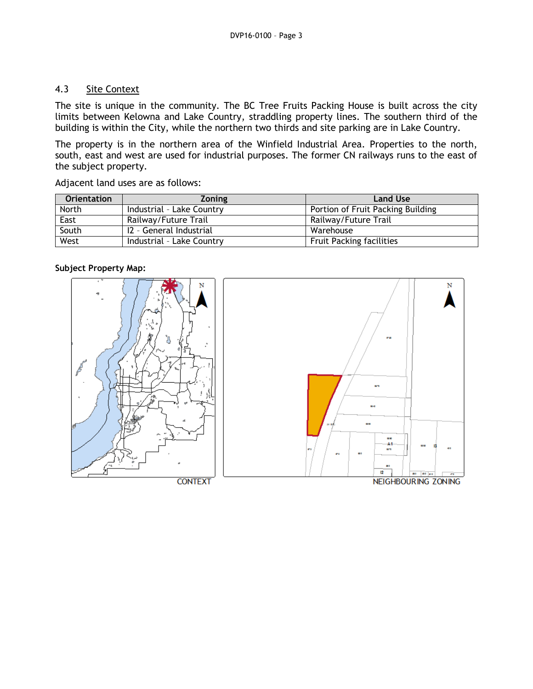#### 4.3 Site Context

The site is unique in the community. The BC Tree Fruits Packing House is built across the city limits between Kelowna and Lake Country, straddling property lines. The southern third of the building is within the City, while the northern two thirds and site parking are in Lake Country.

The property is in the northern area of the Winfield Industrial Area. Properties to the north, south, east and west are used for industrial purposes. The former CN railways runs to the east of the subject property.

Adjacent land uses are as follows:

| <b>Orientation</b> | <b>Zoning</b>             | <b>Land Use</b>                   |
|--------------------|---------------------------|-----------------------------------|
| North              | Industrial - Lake Country | Portion of Fruit Packing Building |
| East               | Railway/Future Trail      | Railway/Future Trail              |
| South              | 12 - General Industrial   | Warehouse                         |
| West               | Industrial - Lake Country | <b>Fruit Packing facilities</b>   |

#### **Subject Property Map:**

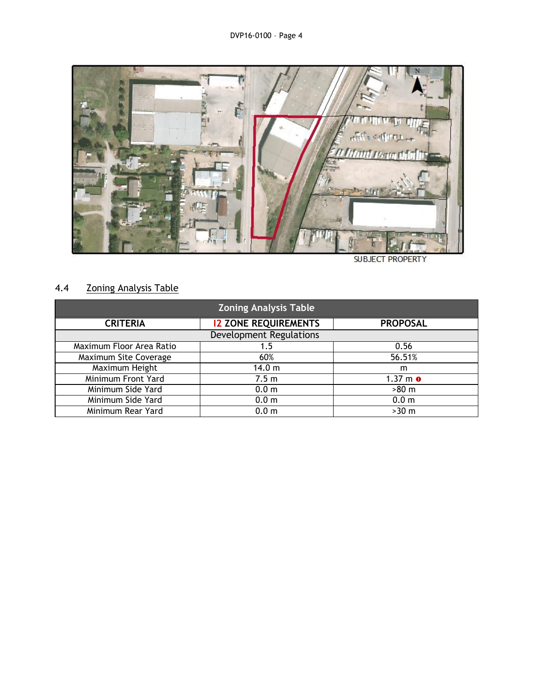

**SUBJECT PROPERTY** 

# 4.4 Zoning Analysis Table

| <b>Zoning Analysis Table</b>   |                             |                  |  |  |  |
|--------------------------------|-----------------------------|------------------|--|--|--|
| <b>CRITERIA</b>                | <b>12 ZONE REQUIREMENTS</b> | <b>PROPOSAL</b>  |  |  |  |
| <b>Development Regulations</b> |                             |                  |  |  |  |
| Maximum Floor Area Ratio       | 1.5                         | 0.56             |  |  |  |
| Maximum Site Coverage          | 60%                         | 56.51%           |  |  |  |
| Maximum Height                 | 14.0 m                      | m                |  |  |  |
| Minimum Front Yard             | 7.5 <sub>m</sub>            | $1.37 m$ o       |  |  |  |
| Minimum Side Yard              | 0.0 <sub>m</sub>            | $>80$ m          |  |  |  |
| Minimum Side Yard              | 0.0 <sub>m</sub>            | 0.0 <sub>m</sub> |  |  |  |
| Minimum Rear Yard              | 0.0 <sub>m</sub>            | $>30$ m          |  |  |  |